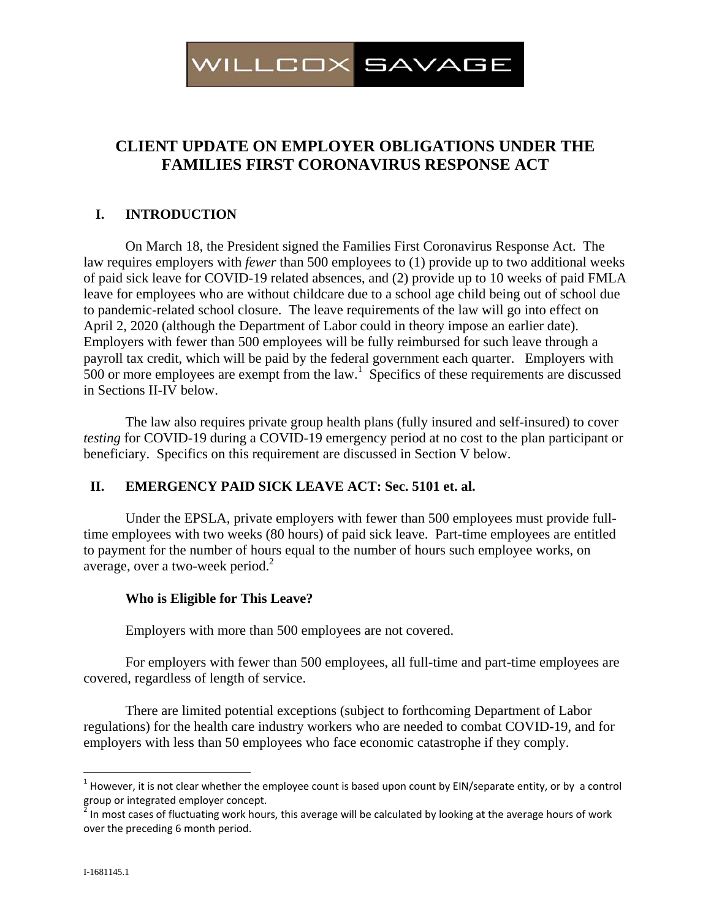

# **CLIENT UPDATE ON EMPLOYER OBLIGATIONS UNDER THE FAMILIES FIRST CORONAVIRUS RESPONSE ACT**

# **I. INTRODUCTION**

On March 18, the President signed the Families First Coronavirus Response Act. The law requires employers with *fewer* than 500 employees to (1) provide up to two additional weeks of paid sick leave for COVID-19 related absences, and (2) provide up to 10 weeks of paid FMLA leave for employees who are without childcare due to a school age child being out of school due to pandemic-related school closure. The leave requirements of the law will go into effect on April 2, 2020 (although the Department of Labor could in theory impose an earlier date). Employers with fewer than 500 employees will be fully reimbursed for such leave through a payroll tax credit, which will be paid by the federal government each quarter. Employers with  $500$  or more employees are exempt from the law.<sup>1</sup> Specifics of these requirements are discussed in Sections II-IV below.

The law also requires private group health plans (fully insured and self-insured) to cover *testing* for COVID-19 during a COVID-19 emergency period at no cost to the plan participant or beneficiary. Specifics on this requirement are discussed in Section V below.

## **II. EMERGENCY PAID SICK LEAVE ACT: Sec. 5101 et. al.**

Under the EPSLA, private employers with fewer than 500 employees must provide fulltime employees with two weeks (80 hours) of paid sick leave. Part-time employees are entitled to payment for the number of hours equal to the number of hours such employee works, on average, over a two-week period. $2^2$ 

## **Who is Eligible for This Leave?**

Employers with more than 500 employees are not covered.

For employers with fewer than 500 employees, all full-time and part-time employees are covered, regardless of length of service.

There are limited potential exceptions (subject to forthcoming Department of Labor regulations) for the health care industry workers who are needed to combat COVID-19, and for employers with less than 50 employees who face economic catastrophe if they comply.

1

<sup>&</sup>lt;sup>1</sup> However, it is not clear whether the employee count is based upon count by EIN/separate entity, or by a control group or integrated employer concept.

In most cases of fluctuating work hours, this average will be calculated by looking at the average hours of work over the preceding 6 month period.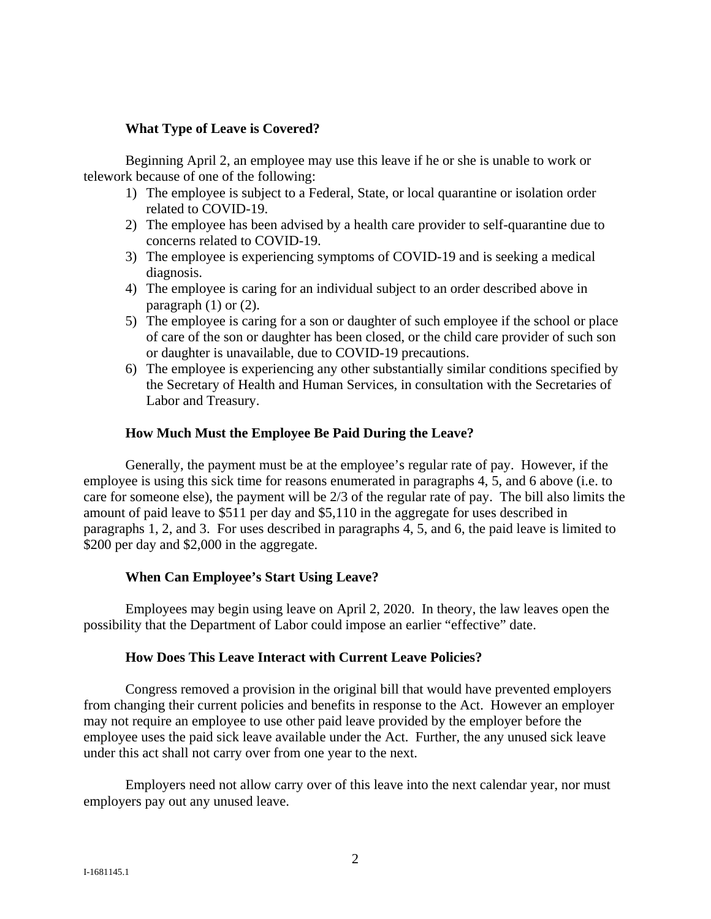## **What Type of Leave is Covered?**

Beginning April 2, an employee may use this leave if he or she is unable to work or telework because of one of the following:

- 1) The employee is subject to a Federal, State, or local quarantine or isolation order related to COVID-19.
- 2) The employee has been advised by a health care provider to self-quarantine due to concerns related to COVID-19.
- 3) The employee is experiencing symptoms of COVID-19 and is seeking a medical diagnosis.
- 4) The employee is caring for an individual subject to an order described above in paragraph  $(1)$  or  $(2)$ .
- 5) The employee is caring for a son or daughter of such employee if the school or place of care of the son or daughter has been closed, or the child care provider of such son or daughter is unavailable, due to COVID-19 precautions.
- 6) The employee is experiencing any other substantially similar conditions specified by the Secretary of Health and Human Services, in consultation with the Secretaries of Labor and Treasury.

## **How Much Must the Employee Be Paid During the Leave?**

Generally, the payment must be at the employee's regular rate of pay. However, if the employee is using this sick time for reasons enumerated in paragraphs 4, 5, and 6 above (i.e. to care for someone else), the payment will be 2/3 of the regular rate of pay. The bill also limits the amount of paid leave to \$511 per day and \$5,110 in the aggregate for uses described in paragraphs 1, 2, and 3. For uses described in paragraphs 4, 5, and 6, the paid leave is limited to \$200 per day and \$2,000 in the aggregate.

## **When Can Employee's Start Using Leave?**

Employees may begin using leave on April 2, 2020. In theory, the law leaves open the possibility that the Department of Labor could impose an earlier "effective" date.

## **How Does This Leave Interact with Current Leave Policies?**

Congress removed a provision in the original bill that would have prevented employers from changing their current policies and benefits in response to the Act. However an employer may not require an employee to use other paid leave provided by the employer before the employee uses the paid sick leave available under the Act. Further, the any unused sick leave under this act shall not carry over from one year to the next.

Employers need not allow carry over of this leave into the next calendar year, nor must employers pay out any unused leave.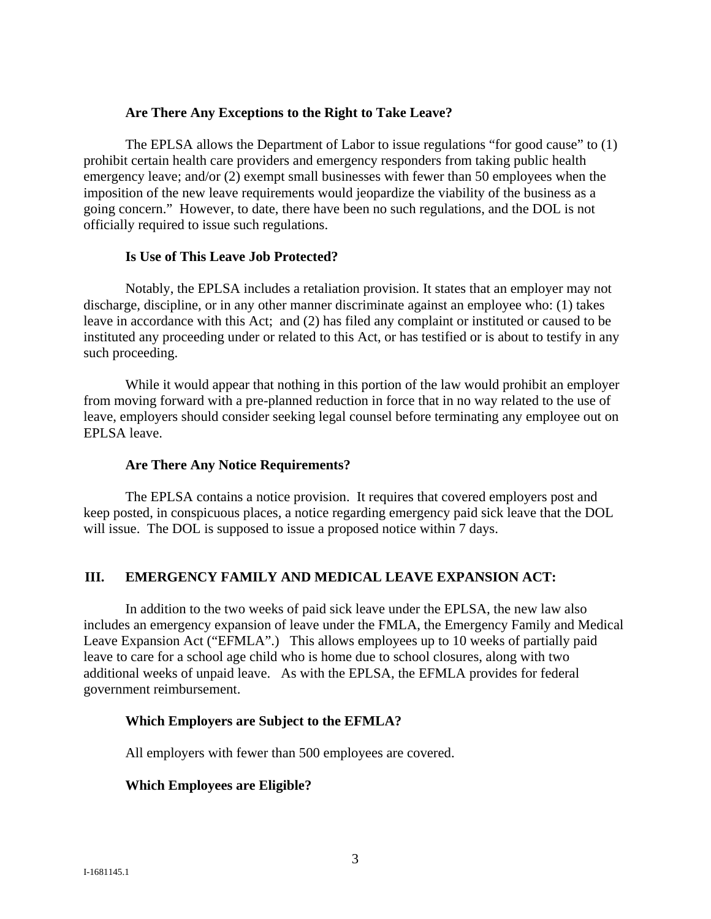#### **Are There Any Exceptions to the Right to Take Leave?**

The EPLSA allows the Department of Labor to issue regulations "for good cause" to (1) prohibit certain health care providers and emergency responders from taking public health emergency leave; and/or (2) exempt small businesses with fewer than 50 employees when the imposition of the new leave requirements would jeopardize the viability of the business as a going concern." However, to date, there have been no such regulations, and the DOL is not officially required to issue such regulations.

#### **Is Use of This Leave Job Protected?**

Notably, the EPLSA includes a retaliation provision. It states that an employer may not discharge, discipline, or in any other manner discriminate against an employee who: (1) takes leave in accordance with this Act; and (2) has filed any complaint or instituted or caused to be instituted any proceeding under or related to this Act, or has testified or is about to testify in any such proceeding.

While it would appear that nothing in this portion of the law would prohibit an employer from moving forward with a pre-planned reduction in force that in no way related to the use of leave, employers should consider seeking legal counsel before terminating any employee out on EPLSA leave.

## **Are There Any Notice Requirements?**

The EPLSA contains a notice provision. It requires that covered employers post and keep posted, in conspicuous places, a notice regarding emergency paid sick leave that the DOL will issue. The DOL is supposed to issue a proposed notice within 7 days.

## **III. EMERGENCY FAMILY AND MEDICAL LEAVE EXPANSION ACT:**

In addition to the two weeks of paid sick leave under the EPLSA, the new law also includes an emergency expansion of leave under the FMLA, the Emergency Family and Medical Leave Expansion Act ("EFMLA".) This allows employees up to 10 weeks of partially paid leave to care for a school age child who is home due to school closures, along with two additional weeks of unpaid leave. As with the EPLSA, the EFMLA provides for federal government reimbursement.

## **Which Employers are Subject to the EFMLA?**

All employers with fewer than 500 employees are covered.

## **Which Employees are Eligible?**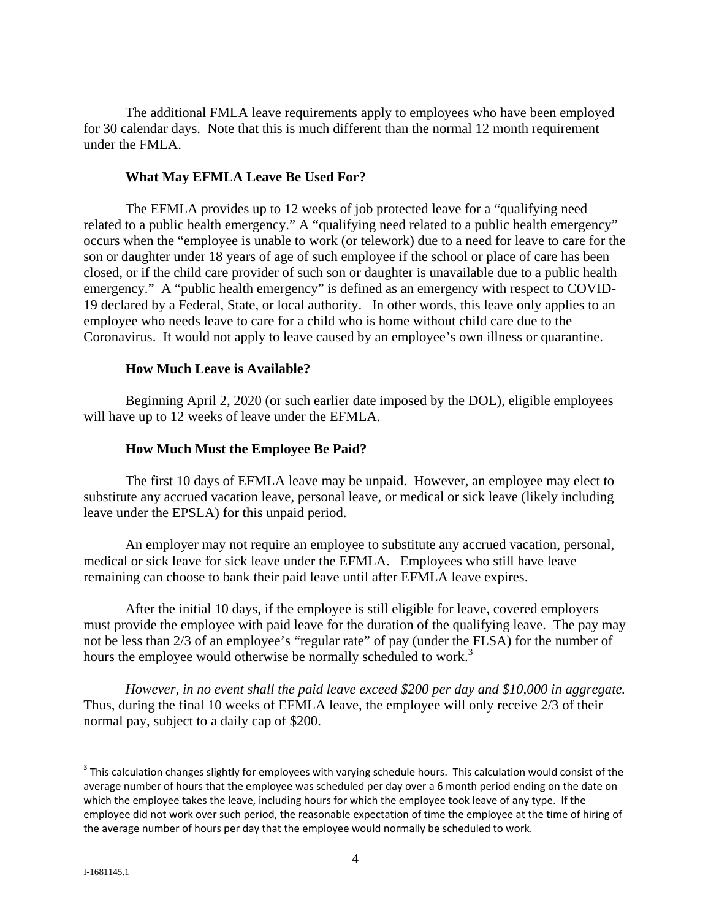The additional FMLA leave requirements apply to employees who have been employed for 30 calendar days. Note that this is much different than the normal 12 month requirement under the FMLA.

#### **What May EFMLA Leave Be Used For?**

The EFMLA provides up to 12 weeks of job protected leave for a "qualifying need related to a public health emergency." A "qualifying need related to a public health emergency" occurs when the "employee is unable to work (or telework) due to a need for leave to care for the son or daughter under 18 years of age of such employee if the school or place of care has been closed, or if the child care provider of such son or daughter is unavailable due to a public health emergency." A "public health emergency" is defined as an emergency with respect to COVID-19 declared by a Federal, State, or local authority. In other words, this leave only applies to an employee who needs leave to care for a child who is home without child care due to the Coronavirus. It would not apply to leave caused by an employee's own illness or quarantine.

#### **How Much Leave is Available?**

Beginning April 2, 2020 (or such earlier date imposed by the DOL), eligible employees will have up to 12 weeks of leave under the EFMLA.

#### **How Much Must the Employee Be Paid?**

The first 10 days of EFMLA leave may be unpaid. However, an employee may elect to substitute any accrued vacation leave, personal leave, or medical or sick leave (likely including leave under the EPSLA) for this unpaid period.

An employer may not require an employee to substitute any accrued vacation, personal, medical or sick leave for sick leave under the EFMLA. Employees who still have leave remaining can choose to bank their paid leave until after EFMLA leave expires.

After the initial 10 days, if the employee is still eligible for leave, covered employers must provide the employee with paid leave for the duration of the qualifying leave. The pay may not be less than 2/3 of an employee's "regular rate" of pay (under the FLSA) for the number of hours the employee would otherwise be normally scheduled to work.<sup>3</sup>

*However, in no event shall the paid leave exceed \$200 per day and \$10,000 in aggregate.* Thus, during the final 10 weeks of EFMLA leave, the employee will only receive 2/3 of their normal pay, subject to a daily cap of \$200.

 $\overline{a}$ 

 $3$  This calculation changes slightly for employees with varying schedule hours. This calculation would consist of the average number of hours that the employee was scheduled per day over a 6 month period ending on the date on which the employee takes the leave, including hours for which the employee took leave of any type. If the employee did not work over such period, the reasonable expectation of time the employee at the time of hiring of the average number of hours per day that the employee would normally be scheduled to work.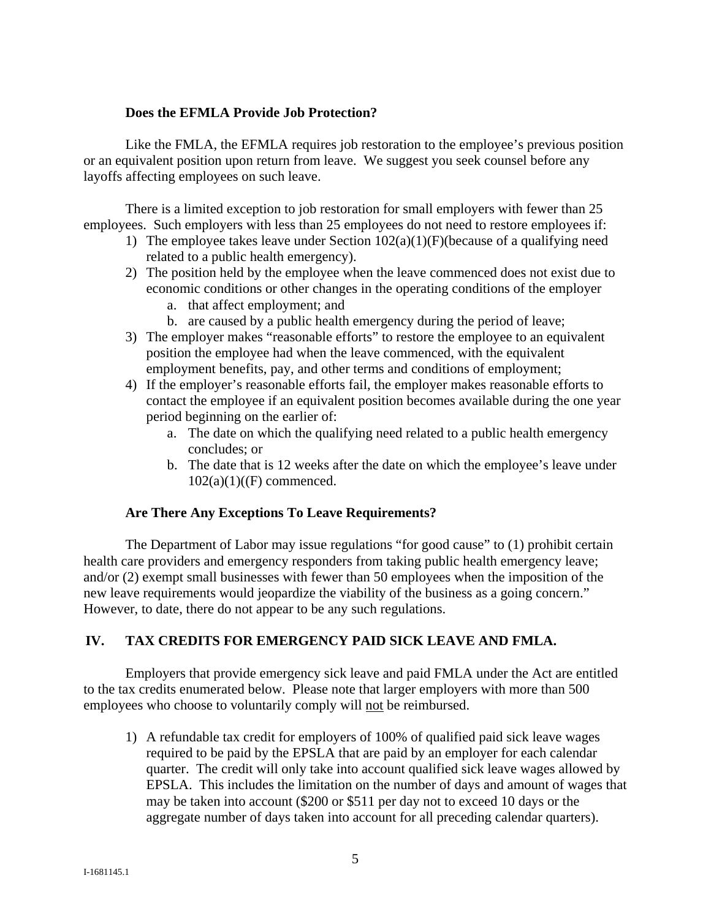## **Does the EFMLA Provide Job Protection?**

Like the FMLA, the EFMLA requires job restoration to the employee's previous position or an equivalent position upon return from leave. We suggest you seek counsel before any layoffs affecting employees on such leave.

There is a limited exception to job restoration for small employers with fewer than 25 employees. Such employers with less than 25 employees do not need to restore employees if:

- 1) The employee takes leave under Section  $102(a)(1)(F)$ (because of a qualifying need related to a public health emergency).
- 2) The position held by the employee when the leave commenced does not exist due to economic conditions or other changes in the operating conditions of the employer
	- a. that affect employment; and
	- b. are caused by a public health emergency during the period of leave;
- 3) The employer makes "reasonable efforts" to restore the employee to an equivalent position the employee had when the leave commenced, with the equivalent employment benefits, pay, and other terms and conditions of employment;
- 4) If the employer's reasonable efforts fail, the employer makes reasonable efforts to contact the employee if an equivalent position becomes available during the one year period beginning on the earlier of:
	- a. The date on which the qualifying need related to a public health emergency concludes; or
	- b. The date that is 12 weeks after the date on which the employee's leave under  $102(a)(1)((F)$  commenced.

# **Are There Any Exceptions To Leave Requirements?**

The Department of Labor may issue regulations "for good cause" to (1) prohibit certain health care providers and emergency responders from taking public health emergency leave; and/or (2) exempt small businesses with fewer than 50 employees when the imposition of the new leave requirements would jeopardize the viability of the business as a going concern." However, to date, there do not appear to be any such regulations.

# **IV. TAX CREDITS FOR EMERGENCY PAID SICK LEAVE AND FMLA.**

Employers that provide emergency sick leave and paid FMLA under the Act are entitled to the tax credits enumerated below. Please note that larger employers with more than 500 employees who choose to voluntarily comply will not be reimbursed.

1) A refundable tax credit for employers of 100% of qualified paid sick leave wages required to be paid by the EPSLA that are paid by an employer for each calendar quarter. The credit will only take into account qualified sick leave wages allowed by EPSLA. This includes the limitation on the number of days and amount of wages that may be taken into account (\$200 or \$511 per day not to exceed 10 days or the aggregate number of days taken into account for all preceding calendar quarters).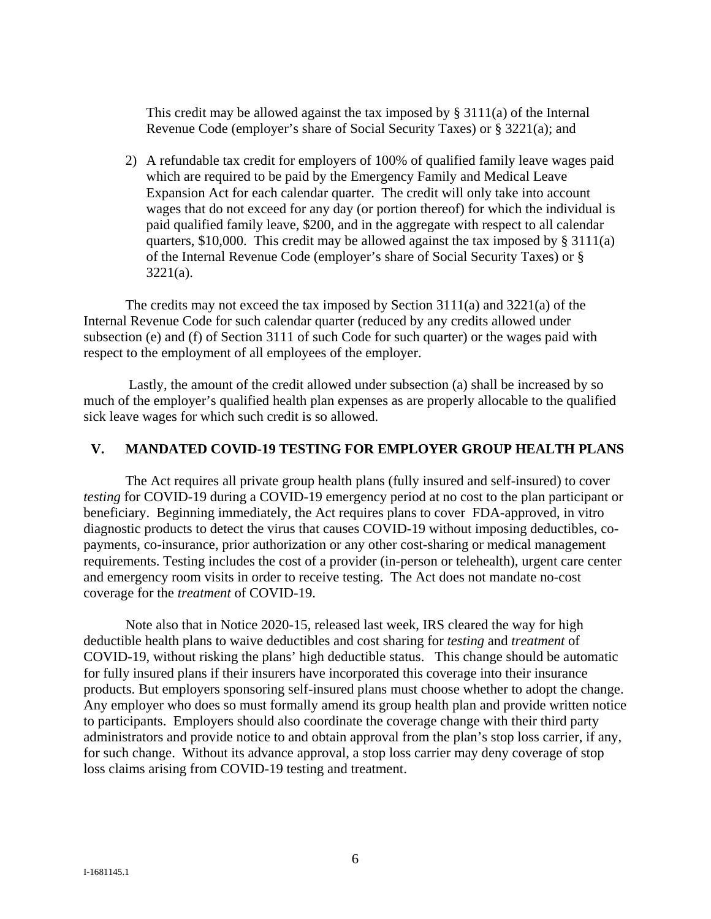This credit may be allowed against the tax imposed by  $\S 3111(a)$  of the Internal Revenue Code (employer's share of Social Security Taxes) or § 3221(a); and

2) A refundable tax credit for employers of 100% of qualified family leave wages paid which are required to be paid by the Emergency Family and Medical Leave Expansion Act for each calendar quarter. The credit will only take into account wages that do not exceed for any day (or portion thereof) for which the individual is paid qualified family leave, \$200, and in the aggregate with respect to all calendar quarters,  $$10,000$ . This credit may be allowed against the tax imposed by  $§ 3111(a)$ of the Internal Revenue Code (employer's share of Social Security Taxes) or § 3221(a).

The credits may not exceed the tax imposed by Section 3111(a) and 3221(a) of the Internal Revenue Code for such calendar quarter (reduced by any credits allowed under subsection (e) and (f) of Section 3111 of such Code for such quarter) or the wages paid with respect to the employment of all employees of the employer.

 Lastly, the amount of the credit allowed under subsection (a) shall be increased by so much of the employer's qualified health plan expenses as are properly allocable to the qualified sick leave wages for which such credit is so allowed.

#### **V. MANDATED COVID-19 TESTING FOR EMPLOYER GROUP HEALTH PLANS**

The Act requires all private group health plans (fully insured and self-insured) to cover *testing* for COVID-19 during a COVID-19 emergency period at no cost to the plan participant or beneficiary. Beginning immediately, the Act requires plans to cover FDA-approved, in vitro diagnostic products to detect the virus that causes COVID-19 without imposing deductibles, copayments, co-insurance, prior authorization or any other cost-sharing or medical management requirements. Testing includes the cost of a provider (in-person or telehealth), urgent care center and emergency room visits in order to receive testing. The Act does not mandate no-cost coverage for the *treatment* of COVID-19.

Note also that in Notice 2020-15, released last week, IRS cleared the way for high deductible health plans to waive deductibles and cost sharing for *testing* and *treatment* of COVID-19, without risking the plans' high deductible status. This change should be automatic for fully insured plans if their insurers have incorporated this coverage into their insurance products. But employers sponsoring self-insured plans must choose whether to adopt the change. Any employer who does so must formally amend its group health plan and provide written notice to participants. Employers should also coordinate the coverage change with their third party administrators and provide notice to and obtain approval from the plan's stop loss carrier, if any, for such change. Without its advance approval, a stop loss carrier may deny coverage of stop loss claims arising from COVID-19 testing and treatment.